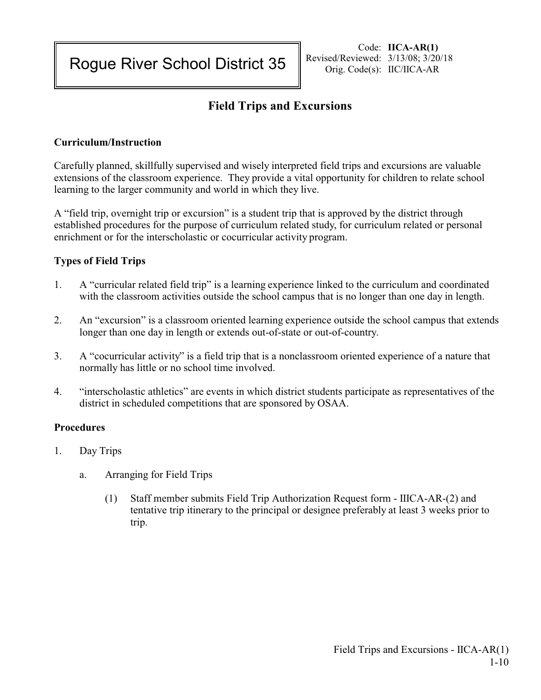Rogue River School District 35

# **Field Trips and Excursions**

## **Curriculum/Instruction**

Carefully planned, skillfully supervised and wisely interpreted field trips and excursions are valuable extensions of the classroom experience. They provide a vital opportunity for children to relate school learning to the larger community and world in which they live.

A "field trip, overnight trip or excursion" is a student trip that is approved by the district through established procedures for the purpose of curriculum related study, for curriculum related or personal enrichment or for the interscholastic or cocurricular activity program.

## **Types of Field Trips**

- 1. A "curricular related field trip" is a learning experience linked to the curriculum and coordinated with the classroom activities outside the school campus that is no longer than one day in length.
- 2. An "excursion" is a classroom oriented learning experience outside the school campus that extends longer than one day in length or extends out-of-state or out-of-country.
- 3. A "cocurricular activity" is a field trip that is a nonclassroom oriented experience of a nature that normally has little or no school time involved.
- 4. "interscholastic athletics" are events in which district students participate as representatives of the district in scheduled competitions that are sponsored by OSAA.

#### **Procedures**

- 1. Day Trips
	- a. Arranging for Field Trips
		- (1) Staff member submits Field Trip Authorization Request form IIICA-AR-(2) and tentative trip itinerary to the principal or designee preferably at least 3 weeks prior to trip.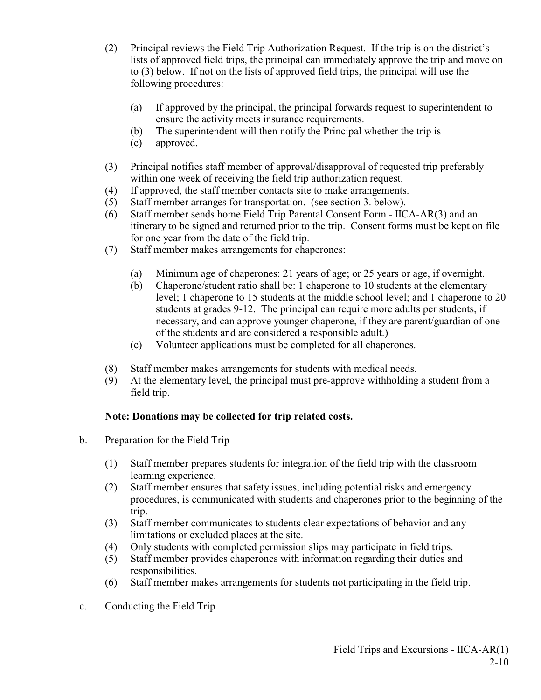- (2) Principal reviews the Field Trip Authorization Request. If the trip is on the district's lists of approved field trips, the principal can immediately approve the trip and move on to (3) below. If not on the lists of approved field trips, the principal will use the following procedures:
	- (a) If approved by the principal, the principal forwards request to superintendent to ensure the activity meets insurance requirements.
	- (b) The superintendent will then notify the Principal whether the trip is
	- (c) approved.
- (3) Principal notifies staff member of approval/disapproval of requested trip preferably within one week of receiving the field trip authorization request.
- (4) If approved, the staff member contacts site to make arrangements.
- (5) Staff member arranges for transportation. (see section 3. below).
- (6) Staff member sends home Field Trip Parental Consent Form IICA-AR(3) and an itinerary to be signed and returned prior to the trip. Consent forms must be kept on file for one year from the date of the field trip.
- (7) Staff member makes arrangements for chaperones:
	- (a) Minimum age of chaperones: 21 years of age; or 25 years or age, if overnight.
	- (b) Chaperone/student ratio shall be: 1 chaperone to 10 students at the elementary level; 1 chaperone to 15 students at the middle school level; and 1 chaperone to 20 students at grades 9-12. The principal can require more adults per students, if necessary, and can approve younger chaperone, if they are parent/guardian of one of the students and are considered a responsible adult.)
	- (c) Volunteer applications must be completed for all chaperones.
- (8) Staff member makes arrangements for students with medical needs.
- (9) At the elementary level, the principal must pre-approve withholding a student from a field trip.

## **Note: Donations may be collected for trip related costs.**

- b. Preparation for the Field Trip
	- (1) Staff member prepares students for integration of the field trip with the classroom learning experience.
	- (2) Staff member ensures that safety issues, including potential risks and emergency procedures, is communicated with students and chaperones prior to the beginning of the trip.
	- (3) Staff member communicates to students clear expectations of behavior and any limitations or excluded places at the site.
	- (4) Only students with completed permission slips may participate in field trips.
	- (5) Staff member provides chaperones with information regarding their duties and responsibilities.
	- (6) Staff member makes arrangements for students not participating in the field trip.
- c. Conducting the Field Trip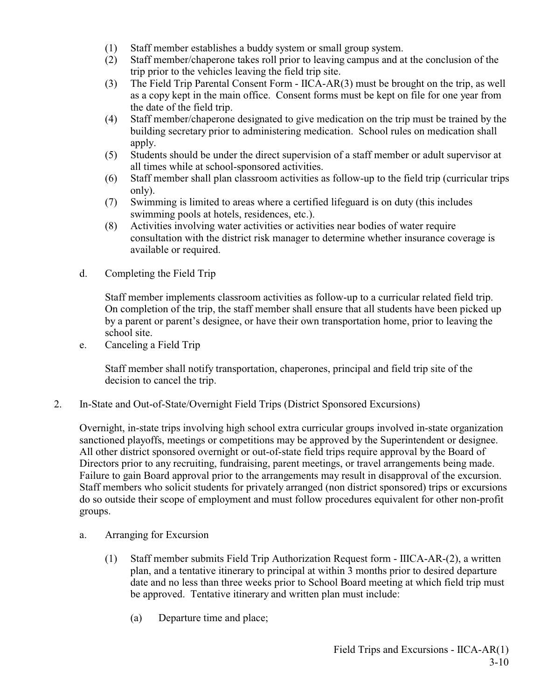- (1) Staff member establishes a buddy system or small group system.
- (2) Staff member/chaperone takes roll prior to leaving campus and at the conclusion of the trip prior to the vehicles leaving the field trip site.
- (3) The Field Trip Parental Consent Form IICA-AR(3) must be brought on the trip, as well as a copy kept in the main office. Consent forms must be kept on file for one year from the date of the field trip.
- (4) Staff member/chaperone designated to give medication on the trip must be trained by the building secretary prior to administering medication. School rules on medication shall apply.
- (5) Students should be under the direct supervision of a staff member or adult supervisor at all times while at school-sponsored activities.
- (6) Staff member shall plan classroom activities as follow-up to the field trip (curricular trips only).
- (7) Swimming is limited to areas where a certified lifeguard is on duty (this includes swimming pools at hotels, residences, etc.).
- (8) Activities involving water activities or activities near bodies of water require consultation with the district risk manager to determine whether insurance coverage is available or required.
- d. Completing the Field Trip

Staff member implements classroom activities as follow-up to a curricular related field trip. On completion of the trip, the staff member shall ensure that all students have been picked up by a parent or parent's designee, or have their own transportation home, prior to leaving the school site.

e. Canceling a Field Trip

Staff member shall notify transportation, chaperones, principal and field trip site of the decision to cancel the trip.

2. In-State and Out-of-State/Overnight Field Trips (District Sponsored Excursions)

Overnight, in-state trips involving high school extra curricular groups involved in-state organization sanctioned playoffs, meetings or competitions may be approved by the Superintendent or designee. All other district sponsored overnight or out-of-state field trips require approval by the Board of Directors prior to any recruiting, fundraising, parent meetings, or travel arrangements being made. Failure to gain Board approval prior to the arrangements may result in disapproval of the excursion. Staff members who solicit students for privately arranged (non district sponsored) trips or excursions do so outside their scope of employment and must follow procedures equivalent for other non-profit groups.

- a. Arranging for Excursion
	- (1) Staff member submits Field Trip Authorization Request form IIICA-AR-(2), a written plan, and a tentative itinerary to principal at within 3 months prior to desired departure date and no less than three weeks prior to School Board meeting at which field trip must be approved. Tentative itinerary and written plan must include:
		- (a) Departure time and place;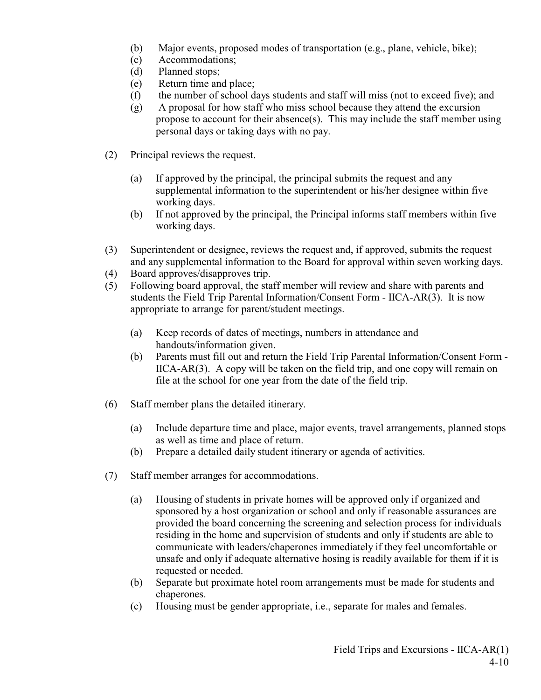- (b) Major events, proposed modes of transportation (e.g., plane, vehicle, bike);
- (c) Accommodations;
- (d) Planned stops;
- (e) Return time and place;
- (f) the number of school days students and staff will miss (not to exceed five); and
- (g) A proposal for how staff who miss school because they attend the excursion propose to account for their absence(s). This may include the staff member using personal days or taking days with no pay.
- (2) Principal reviews the request.
	- (a) If approved by the principal, the principal submits the request and any supplemental information to the superintendent or his/her designee within five working days.
	- (b) If not approved by the principal, the Principal informs staff members within five working days.
- (3) Superintendent or designee, reviews the request and, if approved, submits the request and any supplemental information to the Board for approval within seven working days.
- (4) Board approves/disapproves trip.
- (5) Following board approval, the staff member will review and share with parents and students the Field Trip Parental Information/Consent Form - IICA-AR(3). It is now appropriate to arrange for parent/student meetings.
	- (a) Keep records of dates of meetings, numbers in attendance and handouts/information given.
	- (b) Parents must fill out and return the Field Trip Parental Information/Consent Form IICA-AR(3). A copy will be taken on the field trip, and one copy will remain on file at the school for one year from the date of the field trip.
- (6) Staff member plans the detailed itinerary.
	- (a) Include departure time and place, major events, travel arrangements, planned stops as well as time and place of return.
	- (b) Prepare a detailed daily student itinerary or agenda of activities.
- (7) Staff member arranges for accommodations.
	- (a) Housing of students in private homes will be approved only if organized and sponsored by a host organization or school and only if reasonable assurances are provided the board concerning the screening and selection process for individuals residing in the home and supervision of students and only if students are able to communicate with leaders/chaperones immediately if they feel uncomfortable or unsafe and only if adequate alternative hosing is readily available for them if it is requested or needed.
	- (b) Separate but proximate hotel room arrangements must be made for students and chaperones.
	- (c) Housing must be gender appropriate, i.e., separate for males and females.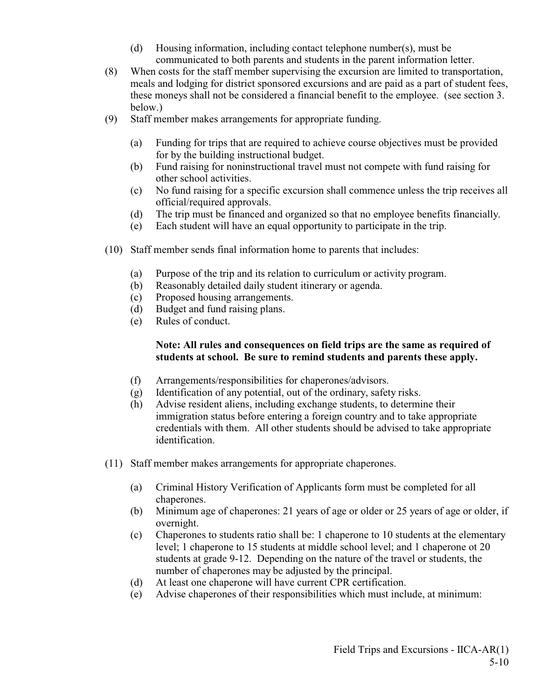- (d) Housing information, including contact telephone number(s), must be communicated to both parents and students in the parent information letter.
- (8) When costs for the staff member supervising the excursion are limited to transportation, meals and lodging for district sponsored excursions and are paid as a part of student fees, these moneys shall not be considered a financial benefit to the employee. (see section 3. below.)
- (9) Staff member makes arrangements for appropriate funding.
	- (a) Funding for trips that are required to achieve course objectives must be provided for by the building instructional budget.
	- (b) Fund raising for noninstructional travel must not compete with fund raising for other school activities.
	- (c) No fund raising for a specific excursion shall commence unless the trip receives all official/required approvals.
	- (d) The trip must be financed and organized so that no employee benefits financially.
	- (e) Each student will have an equal opportunity to participate in the trip.
- (10) Staff member sends final information home to parents that includes:
	- (a) Purpose of the trip and its relation to curriculum or activity program.
	- (b) Reasonably detailed daily student itinerary or agenda.
	- (c) Proposed housing arrangements.
	- (d) Budget and fund raising plans.
	- (e) Rules of conduct.

## **Note: All rules and consequences on field trips are the same as required of students at school. Be sure to remind students and parents these apply.**

- (f) Arrangements/responsibilities for chaperones/advisors.
- (g) Identification of any potential, out of the ordinary, safety risks.
- (h) Advise resident aliens, including exchange students, to determine their immigration status before entering a foreign country and to take appropriate credentials with them. All other students should be advised to take appropriate identification.
- (11) Staff member makes arrangements for appropriate chaperones.
	- (a) Criminal History Verification of Applicants form must be completed for all chaperones.
	- (b) Minimum age of chaperones: 21 years of age or older or 25 years of age or older, if overnight.
	- (c) Chaperones to students ratio shall be: 1 chaperone to 10 students at the elementary level; 1 chaperone to 15 students at middle school level; and 1 chaperone ot 20 students at grade 9-12. Depending on the nature of the travel or students, the number of chaperones may be adjusted by the principal.
	- (d) At least one chaperone will have current CPR certification.
	- (e) Advise chaperones of their responsibilities which must include, at minimum: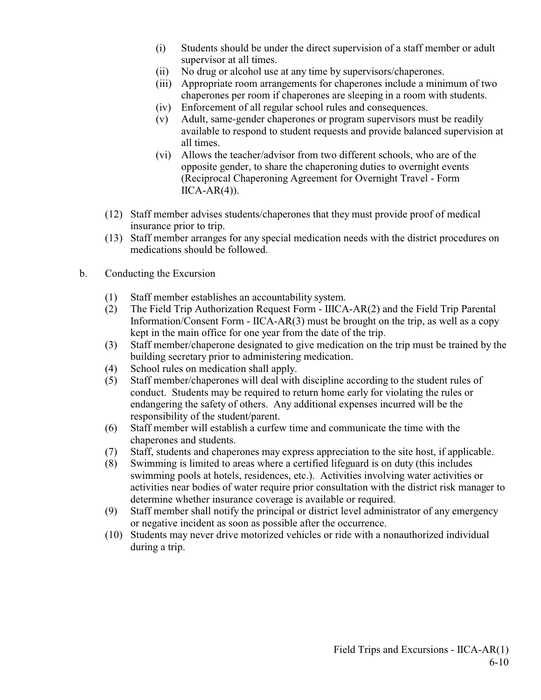- (i) Students should be under the direct supervision of a staff member or adult supervisor at all times.
- (ii) No drug or alcohol use at any time by supervisors/chaperones.
- (iii) Appropriate room arrangements for chaperones include a minimum of two chaperones per room if chaperones are sleeping in a room with students.
- (iv) Enforcement of all regular school rules and consequences.
- (v) Adult, same-gender chaperones or program supervisors must be readily available to respond to student requests and provide balanced supervision at all times.
- (vi) Allows the teacher/advisor from two different schools, who are of the opposite gender, to share the chaperoning duties to overnight events (Reciprocal Chaperoning Agreement for Overnight Travel - Form  $\text{IICA-AR}(4)$ ).
- (12) Staff member advises students/chaperones that they must provide proof of medical insurance prior to trip.
- (13) Staff member arranges for any special medication needs with the district procedures on medications should be followed.
- b. Conducting the Excursion
	- (1) Staff member establishes an accountability system.
	- (2) The Field Trip Authorization Request Form IIICA-AR(2) and the Field Trip Parental Information/Consent Form - IICA-AR(3) must be brought on the trip, as well as a copy kept in the main office for one year from the date of the trip.
	- (3) Staff member/chaperone designated to give medication on the trip must be trained by the building secretary prior to administering medication.
	- (4) School rules on medication shall apply.
	- (5) Staff member/chaperones will deal with discipline according to the student rules of conduct. Students may be required to return home early for violating the rules or endangering the safety of others. Any additional expenses incurred will be the responsibility of the student/parent.
	- (6) Staff member will establish a curfew time and communicate the time with the chaperones and students.
	- (7) Staff, students and chaperones may express appreciation to the site host, if applicable.
	- (8) Swimming is limited to areas where a certified lifeguard is on duty (this includes swimming pools at hotels, residences, etc.). Activities involving water activities or activities near bodies of water require prior consultation with the district risk manager to determine whether insurance coverage is available or required.
	- (9) Staff member shall notify the principal or district level administrator of any emergency or negative incident as soon as possible after the occurrence.
	- (10) Students may never drive motorized vehicles or ride with a nonauthorized individual during a trip.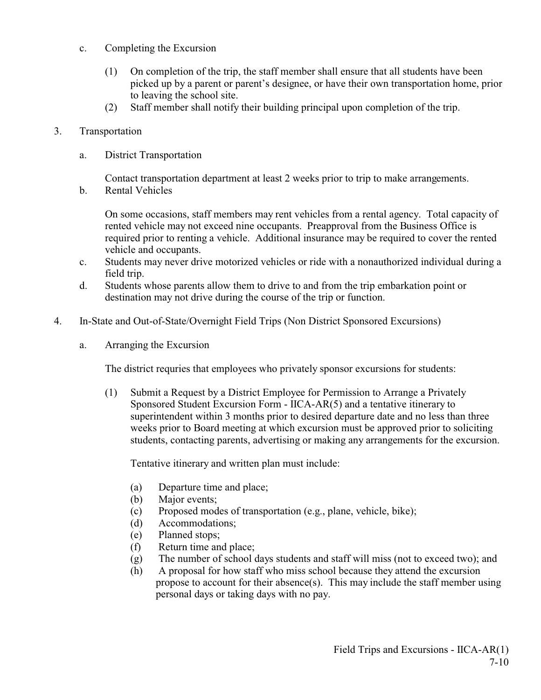- c. Completing the Excursion
	- (1) On completion of the trip, the staff member shall ensure that all students have been picked up by a parent or parent's designee, or have their own transportation home, prior to leaving the school site.
	- (2) Staff member shall notify their building principal upon completion of the trip.
- 3. Transportation
	- a. District Transportation

Contact transportation department at least 2 weeks prior to trip to make arrangements.

b. Rental Vehicles

On some occasions, staff members may rent vehicles from a rental agency. Total capacity of rented vehicle may not exceed nine occupants. Preapproval from the Business Office is required prior to renting a vehicle. Additional insurance may be required to cover the rented vehicle and occupants.

- c. Students may never drive motorized vehicles or ride with a nonauthorized individual during a field trip.
- d. Students whose parents allow them to drive to and from the trip embarkation point or destination may not drive during the course of the trip or function.
- 4. In-State and Out-of-State/Overnight Field Trips (Non District Sponsored Excursions)
	- a. Arranging the Excursion

The district requries that employees who privately sponsor excursions for students:

(1) Submit a Request by a District Employee for Permission to Arrange a Privately Sponsored Student Excursion Form - IICA-AR(5) and a tentative itinerary to superintendent within 3 months prior to desired departure date and no less than three weeks prior to Board meeting at which excursion must be approved prior to soliciting students, contacting parents, advertising or making any arrangements for the excursion.

Tentative itinerary and written plan must include:

- (a) Departure time and place;
- (b) Major events;
- (c) Proposed modes of transportation (e.g., plane, vehicle, bike);
- (d) Accommodations;
- (e) Planned stops;
- (f) Return time and place;
- (g) The number of school days students and staff will miss (not to exceed two); and
- (h) A proposal for how staff who miss school because they attend the excursion propose to account for their absence(s). This may include the staff member using personal days or taking days with no pay.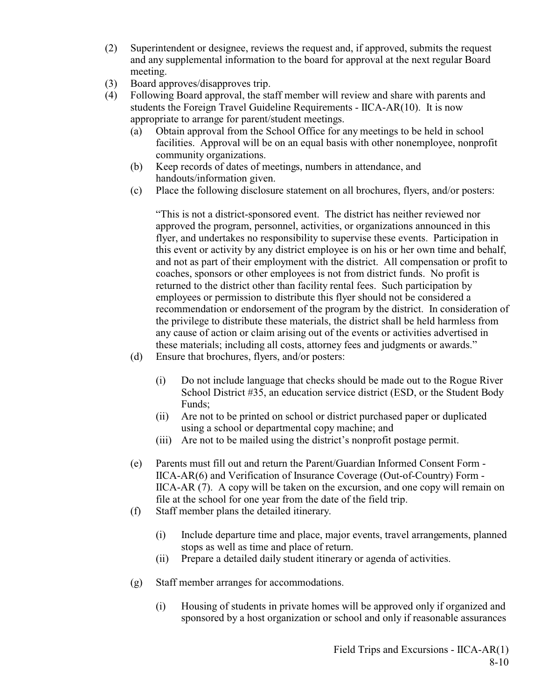- (2) Superintendent or designee, reviews the request and, if approved, submits the request and any supplemental information to the board for approval at the next regular Board meeting.
- (3) Board approves/disapproves trip.
- (4) Following Board approval, the staff member will review and share with parents and students the Foreign Travel Guideline Requirements - IICA-AR(10). It is now appropriate to arrange for parent/student meetings.
	- (a) Obtain approval from the School Office for any meetings to be held in school facilities. Approval will be on an equal basis with other nonemployee, nonprofit community organizations.
	- (b) Keep records of dates of meetings, numbers in attendance, and handouts/information given.
	- (c) Place the following disclosure statement on all brochures, flyers, and/or posters:

"This is not a district-sponsored event. The district has neither reviewed nor approved the program, personnel, activities, or organizations announced in this flyer, and undertakes no responsibility to supervise these events. Participation in this event or activity by any district employee is on his or her own time and behalf, and not as part of their employment with the district. All compensation or profit to coaches, sponsors or other employees is not from district funds. No profit is returned to the district other than facility rental fees. Such participation by employees or permission to distribute this flyer should not be considered a recommendation or endorsement of the program by the district. In consideration of the privilege to distribute these materials, the district shall be held harmless from any cause of action or claim arising out of the events or activities advertised in these materials; including all costs, attorney fees and judgments or awards."

- (d) Ensure that brochures, flyers, and/or posters:
	- (i) Do not include language that checks should be made out to the Rogue River School District #35, an education service district (ESD, or the Student Body Funds;
	- (ii) Are not to be printed on school or district purchased paper or duplicated using a school or departmental copy machine; and
	- (iii) Are not to be mailed using the district's nonprofit postage permit.
- (e) Parents must fill out and return the Parent/Guardian Informed Consent Form IICA-AR(6) and Verification of Insurance Coverage (Out-of-Country) Form - IICA-AR (7). A copy will be taken on the excursion, and one copy will remain on file at the school for one year from the date of the field trip.
- (f) Staff member plans the detailed itinerary.
	- (i) Include departure time and place, major events, travel arrangements, planned stops as well as time and place of return.
	- (ii) Prepare a detailed daily student itinerary or agenda of activities.
- (g) Staff member arranges for accommodations.
	- (i) Housing of students in private homes will be approved only if organized and sponsored by a host organization or school and only if reasonable assurances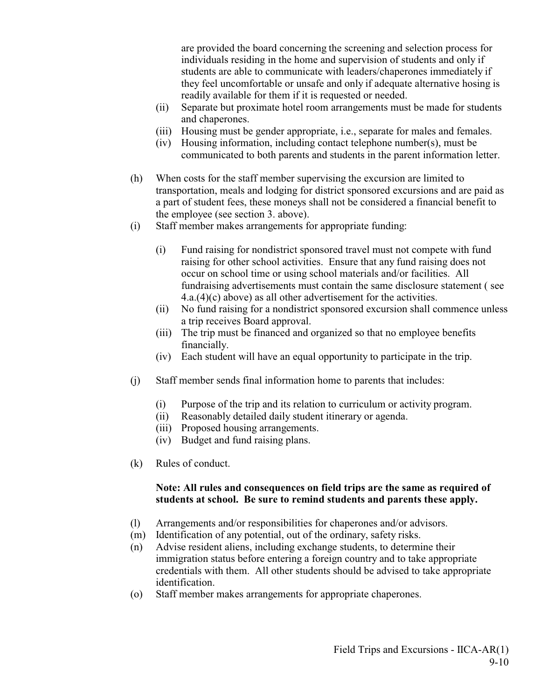are provided the board concerning the screening and selection process for individuals residing in the home and supervision of students and only if students are able to communicate with leaders/chaperones immediately if they feel uncomfortable or unsafe and only if adequate alternative hosing is readily available for them if it is requested or needed.

- (ii) Separate but proximate hotel room arrangements must be made for students and chaperones.
- (iii) Housing must be gender appropriate, i.e., separate for males and females.
- (iv) Housing information, including contact telephone number(s), must be communicated to both parents and students in the parent information letter.
- (h) When costs for the staff member supervising the excursion are limited to transportation, meals and lodging for district sponsored excursions and are paid as a part of student fees, these moneys shall not be considered a financial benefit to the employee (see section 3. above).
- (i) Staff member makes arrangements for appropriate funding:
	- (i) Fund raising for nondistrict sponsored travel must not compete with fund raising for other school activities. Ensure that any fund raising does not occur on school time or using school materials and/or facilities. All fundraising advertisements must contain the same disclosure statement ( see 4.a.(4)(c) above) as all other advertisement for the activities.
	- (ii) No fund raising for a nondistrict sponsored excursion shall commence unless a trip receives Board approval.
	- (iii) The trip must be financed and organized so that no employee benefits financially.
	- (iv) Each student will have an equal opportunity to participate in the trip.
- (j) Staff member sends final information home to parents that includes:
	- (i) Purpose of the trip and its relation to curriculum or activity program.
	- (ii) Reasonably detailed daily student itinerary or agenda.
	- (iii) Proposed housing arrangements.
	- (iv) Budget and fund raising plans.
- (k) Rules of conduct.

### **Note: All rules and consequences on field trips are the same as required of students at school. Be sure to remind students and parents these apply.**

- (l) Arrangements and/or responsibilities for chaperones and/or advisors.
- (m) Identification of any potential, out of the ordinary, safety risks.
- (n) Advise resident aliens, including exchange students, to determine their immigration status before entering a foreign country and to take appropriate credentials with them. All other students should be advised to take appropriate identification.
- (o) Staff member makes arrangements for appropriate chaperones.